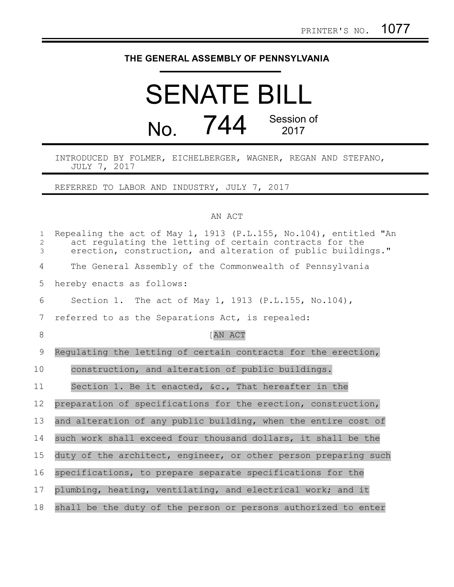## **THE GENERAL ASSEMBLY OF PENNSYLVANIA**

## SENATE BILL No. 744 Session of 2017

INTRODUCED BY FOLMER, EICHELBERGER, WAGNER, REGAN AND STEFANO, JULY 7, 2017

REFERRED TO LABOR AND INDUSTRY, JULY 7, 2017

## AN ACT

| $\mathbf{1}$<br>$\overline{2}$<br>$\mathfrak{Z}$ | Repealing the act of May 1, 1913 (P.L.155, No.104), entitled "An<br>act regulating the letting of certain contracts for the<br>erection, construction, and alteration of public buildings." |
|--------------------------------------------------|---------------------------------------------------------------------------------------------------------------------------------------------------------------------------------------------|
| 4                                                | The General Assembly of the Commonwealth of Pennsylvania                                                                                                                                    |
| 5                                                | hereby enacts as follows:                                                                                                                                                                   |
| 6                                                | Section 1. The act of May 1, 1913 (P.L.155, No.104),                                                                                                                                        |
| $7\phantom{.0}$                                  | referred to as the Separations Act, is repealed:                                                                                                                                            |
| 8                                                | [AN ACT                                                                                                                                                                                     |
| 9                                                | Requlating the letting of certain contracts for the erection,                                                                                                                               |
| 10                                               | construction, and alteration of public buildings.                                                                                                                                           |
| 11                                               | Section 1. Be it enacted, &c., That hereafter in the                                                                                                                                        |
| $12 \,$                                          | preparation of specifications for the erection, construction,                                                                                                                               |
| 13                                               | and alteration of any public building, when the entire cost of                                                                                                                              |
| 14                                               | such work shall exceed four thousand dollars, it shall be the                                                                                                                               |
| 15                                               | duty of the architect, engineer, or other person preparing such                                                                                                                             |
| 16                                               | specifications, to prepare separate specifications for the                                                                                                                                  |
| 17                                               | plumbing, heating, ventilating, and electrical work; and it                                                                                                                                 |
| 18                                               | shall be the duty of the person or persons authorized to enter                                                                                                                              |